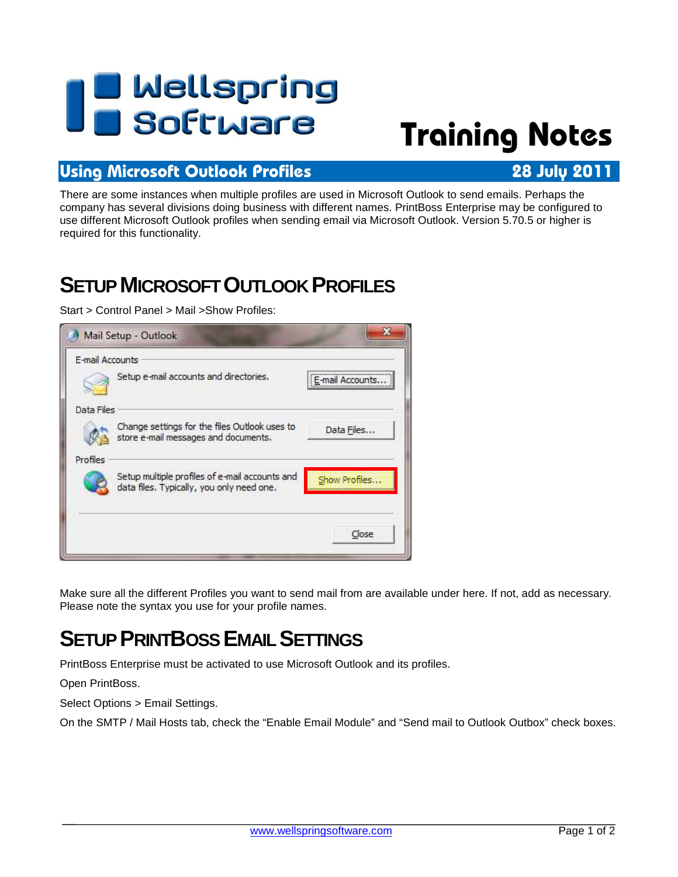# **I B** Wellspring<br>**U B** Software

## **Training Notes**

#### **Using Microsoft Outlook Profiles 28 July 2011**

There are some instances when multiple profiles are used in Microsoft Outlook to send emails. Perhaps the company has several divisions doing business with different names. PrintBoss Enterprise may be configured to use different Microsoft Outlook profiles when sending email via Microsoft Outlook. Version 5.70.5 or higher is required for this functionality.

## **SETUP MICROSOFT OUTLOOK PROFILES**

Start > Control Panel > Mail >Show Profiles:

| E-mail Accounts | Setup e-mail accounts and directories.                                                      | E-mail Accounts |
|-----------------|---------------------------------------------------------------------------------------------|-----------------|
|                 |                                                                                             |                 |
| Data Files      |                                                                                             |                 |
|                 | Change settings for the files Outlook uses to<br>store e-mail messages and documents.       | Data Files      |
| Profiles        |                                                                                             |                 |
|                 | Setup multiple profiles of e-mail accounts and<br>data files. Typically, you only need one. | Show Profiles   |
|                 |                                                                                             |                 |
|                 |                                                                                             | Close           |

Make sure all the different Profiles you want to send mail from are available under here. If not, add as necessary. Please note the syntax you use for your profile names.

### **SETUP PRINTBOSS EMAIL SETTINGS**

PrintBoss Enterprise must be activated to use Microsoft Outlook and its profiles.

Open PrintBoss.

Select Options > Email Settings.

On the SMTP / Mail Hosts tab, check the "Enable Email Module" and "Send mail to Outlook Outbox" check boxes.